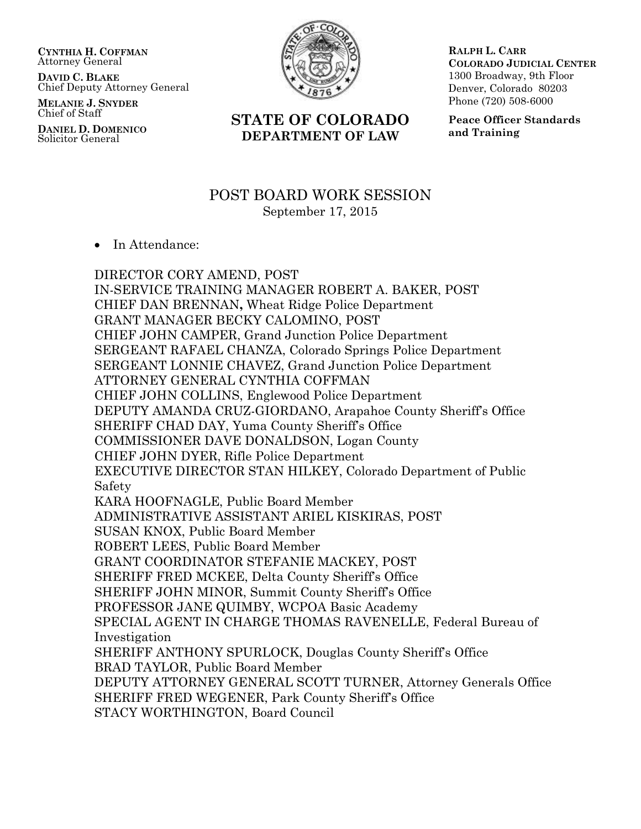**CYNTHIA H. COFFMAN** Attorney General

**DAVID C. BLAKE** Chief Deputy Attorney General

**MELANIE J. SNYDER** Chief of Staff

**DANIEL D. DOMENICO** Solicitor General



**STATE OF COLORADO DEPARTMENT OF LAW**

**RALPH L. CARR COLORADO JUDICIAL CENTER** 1300 Broadway, 9th Floor Denver, Colorado 80203 Phone (720) 508-6000

**Peace Officer Standards and Training**

# POST BOARD WORK SESSION September 17, 2015

• In Attendance:

DIRECTOR CORY AMEND, POST IN-SERVICE TRAINING MANAGER ROBERT A. BAKER, POST CHIEF DAN BRENNAN**,** Wheat Ridge Police Department GRANT MANAGER BECKY CALOMINO, POST CHIEF JOHN CAMPER, Grand Junction Police Department SERGEANT RAFAEL CHANZA, Colorado Springs Police Department SERGEANT LONNIE CHAVEZ, Grand Junction Police Department ATTORNEY GENERAL CYNTHIA COFFMAN CHIEF JOHN COLLINS, Englewood Police Department DEPUTY AMANDA CRUZ-GIORDANO, Arapahoe County Sheriff's Office SHERIFF CHAD DAY, Yuma County Sheriff's Office COMMISSIONER DAVE DONALDSON, Logan County CHIEF JOHN DYER, Rifle Police Department EXECUTIVE DIRECTOR STAN HILKEY, Colorado Department of Public Safety KARA HOOFNAGLE, Public Board Member ADMINISTRATIVE ASSISTANT ARIEL KISKIRAS, POST SUSAN KNOX, Public Board Member ROBERT LEES, Public Board Member GRANT COORDINATOR STEFANIE MACKEY, POST SHERIFF FRED MCKEE, Delta County Sheriff's Office SHERIFF JOHN MINOR, Summit County Sheriff's Office PROFESSOR JANE QUIMBY, WCPOA Basic Academy SPECIAL AGENT IN CHARGE THOMAS RAVENELLE, Federal Bureau of Investigation SHERIFF ANTHONY SPURLOCK, Douglas County Sheriff's Office BRAD TAYLOR, Public Board Member DEPUTY ATTORNEY GENERAL SCOTT TURNER, Attorney Generals Office SHERIFF FRED WEGENER, Park County Sheriff's Office STACY WORTHINGTON, Board Council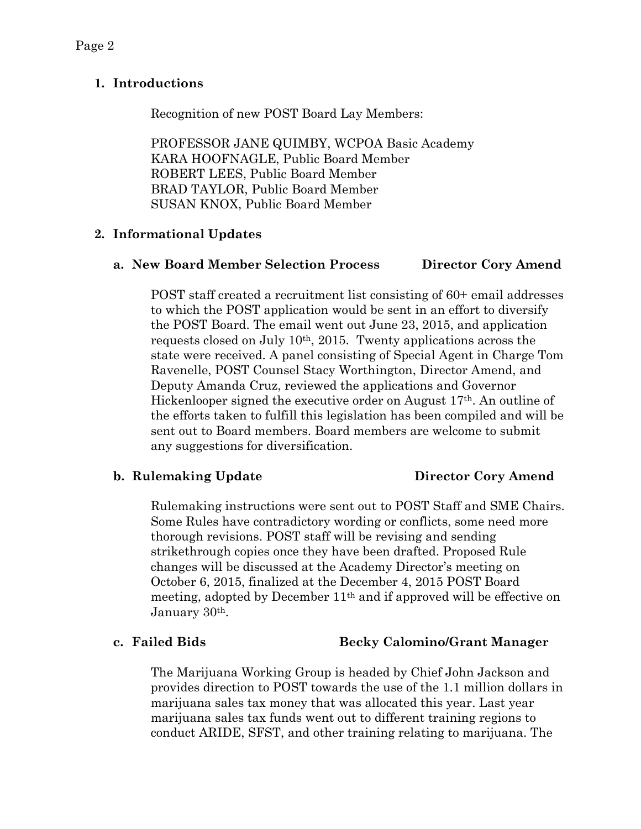# **1. Introductions**

Recognition of new POST Board Lay Members:

PROFESSOR JANE QUIMBY, WCPOA Basic Academy KARA HOOFNAGLE, Public Board Member ROBERT LEES, Public Board Member BRAD TAYLOR, Public Board Member SUSAN KNOX, Public Board Member

# **2. Informational Updates**

# **a. New Board Member Selection Process Director Cory Amend**

POST staff created a recruitment list consisting of 60+ email addresses to which the POST application would be sent in an effort to diversify the POST Board. The email went out June 23, 2015, and application requests closed on July 10th, 2015. Twenty applications across the state were received. A panel consisting of Special Agent in Charge Tom Ravenelle, POST Counsel Stacy Worthington, Director Amend, and Deputy Amanda Cruz, reviewed the applications and Governor Hickenlooper signed the executive order on August 17th. An outline of the efforts taken to fulfill this legislation has been compiled and will be sent out to Board members. Board members are welcome to submit any suggestions for diversification.

# **b. Rulemaking Update Director Cory Amend**

Rulemaking instructions were sent out to POST Staff and SME Chairs. Some Rules have contradictory wording or conflicts, some need more thorough revisions. POST staff will be revising and sending strikethrough copies once they have been drafted. Proposed Rule changes will be discussed at the Academy Director's meeting on October 6, 2015, finalized at the December 4, 2015 POST Board meeting, adopted by December 11th and if approved will be effective on January 30th.

# **c. Failed Bids Becky Calomino/Grant Manager**

The Marijuana Working Group is headed by Chief John Jackson and provides direction to POST towards the use of the 1.1 million dollars in marijuana sales tax money that was allocated this year. Last year marijuana sales tax funds went out to different training regions to conduct ARIDE, SFST, and other training relating to marijuana. The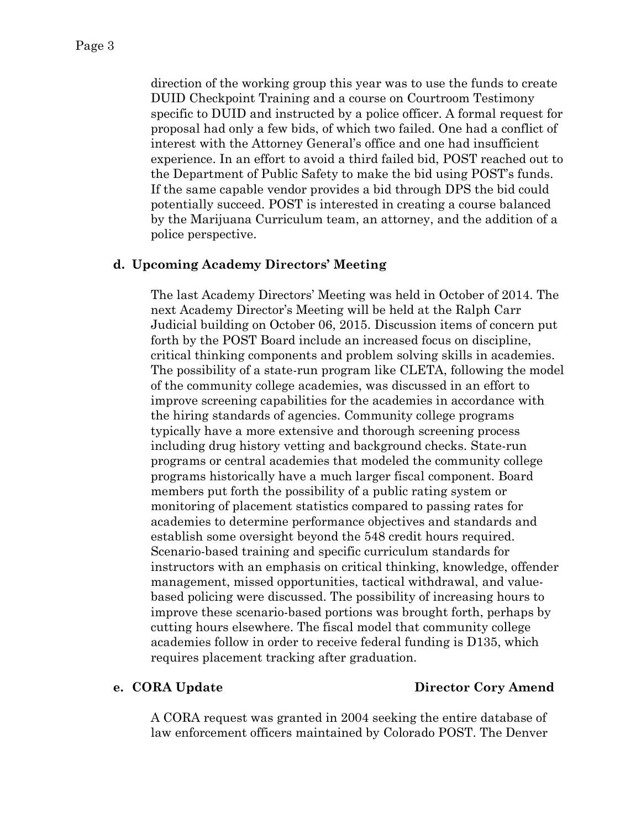direction of the working group this year was to use the funds to create DUID Checkpoint Training and a course on Courtroom Testimony specific to DUID and instructed by a police officer. A formal request for proposal had only a few bids, of which two failed. One had a conflict of interest with the Attorney General's office and one had insufficient experience. In an effort to avoid a third failed bid, POST reached out to the Department of Public Safety to make the bid using POST's funds. If the same capable vendor provides a bid through DPS the bid could potentially succeed. POST is interested in creating a course balanced by the Marijuana Curriculum team, an attorney, and the addition of a police perspective.

### **d. Upcoming Academy Directors' Meeting**

The last Academy Directors' Meeting was held in October of 2014. The next Academy Director's Meeting will be held at the Ralph Carr Judicial building on October 06, 2015. Discussion items of concern put forth by the POST Board include an increased focus on discipline, critical thinking components and problem solving skills in academies. The possibility of a state-run program like CLETA, following the model of the community college academies, was discussed in an effort to improve screening capabilities for the academies in accordance with the hiring standards of agencies. Community college programs typically have a more extensive and thorough screening process including drug history vetting and background checks. State-run programs or central academies that modeled the community college programs historically have a much larger fiscal component. Board members put forth the possibility of a public rating system or monitoring of placement statistics compared to passing rates for academies to determine performance objectives and standards and establish some oversight beyond the 548 credit hours required. Scenario-based training and specific curriculum standards for instructors with an emphasis on critical thinking, knowledge, offender management, missed opportunities, tactical withdrawal, and valuebased policing were discussed. The possibility of increasing hours to improve these scenario-based portions was brought forth, perhaps by cutting hours elsewhere. The fiscal model that community college academies follow in order to receive federal funding is D135, which requires placement tracking after graduation.

### **e. CORA Update Director Cory Amend**

A CORA request was granted in 2004 seeking the entire database of law enforcement officers maintained by Colorado POST. The Denver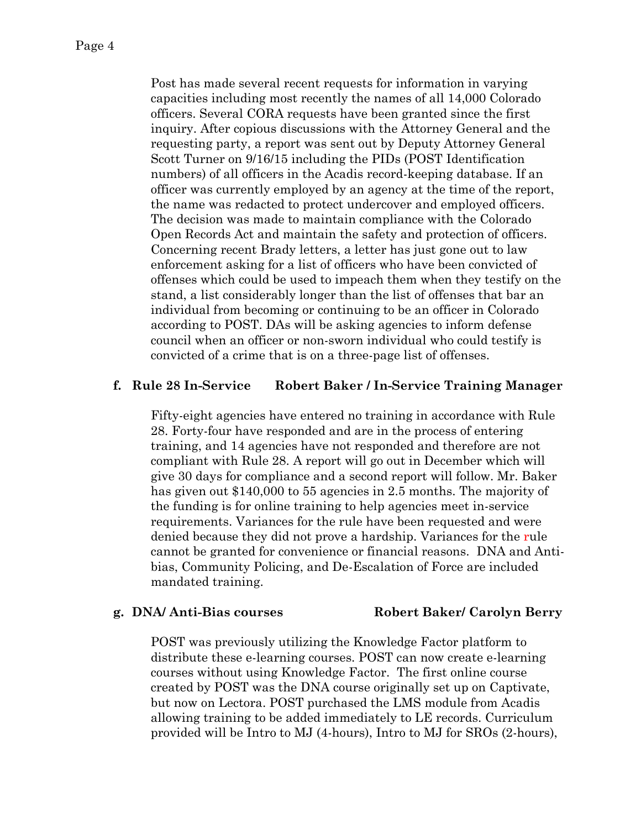Post has made several recent requests for information in varying capacities including most recently the names of all 14,000 Colorado officers. Several CORA requests have been granted since the first inquiry. After copious discussions with the Attorney General and the requesting party, a report was sent out by Deputy Attorney General Scott Turner on 9/16/15 including the PIDs (POST Identification numbers) of all officers in the Acadis record-keeping database. If an officer was currently employed by an agency at the time of the report, the name was redacted to protect undercover and employed officers. The decision was made to maintain compliance with the Colorado Open Records Act and maintain the safety and protection of officers. Concerning recent Brady letters, a letter has just gone out to law enforcement asking for a list of officers who have been convicted of offenses which could be used to impeach them when they testify on the stand, a list considerably longer than the list of offenses that bar an individual from becoming or continuing to be an officer in Colorado according to POST. DAs will be asking agencies to inform defense council when an officer or non-sworn individual who could testify is convicted of a crime that is on a three-page list of offenses.

### **f. Rule 28 In-Service Robert Baker / In-Service Training Manager**

Fifty-eight agencies have entered no training in accordance with Rule 28. Forty-four have responded and are in the process of entering training, and 14 agencies have not responded and therefore are not compliant with Rule 28. A report will go out in December which will give 30 days for compliance and a second report will follow. Mr. Baker has given out \$140,000 to 55 agencies in 2.5 months. The majority of the funding is for online training to help agencies meet in-service requirements. Variances for the rule have been requested and were denied because they did not prove a hardship. Variances for the rule cannot be granted for convenience or financial reasons. DNA and Antibias, Community Policing, and De-Escalation of Force are included mandated training.

### **g. DNA/ Anti-Bias courses Robert Baker/ Carolyn Berry**

POST was previously utilizing the Knowledge Factor platform to distribute these e-learning courses. POST can now create e-learning courses without using Knowledge Factor. The first online course created by POST was the DNA course originally set up on Captivate, but now on Lectora. POST purchased the LMS module from Acadis allowing training to be added immediately to LE records. Curriculum provided will be Intro to MJ (4-hours), Intro to MJ for SROs (2-hours),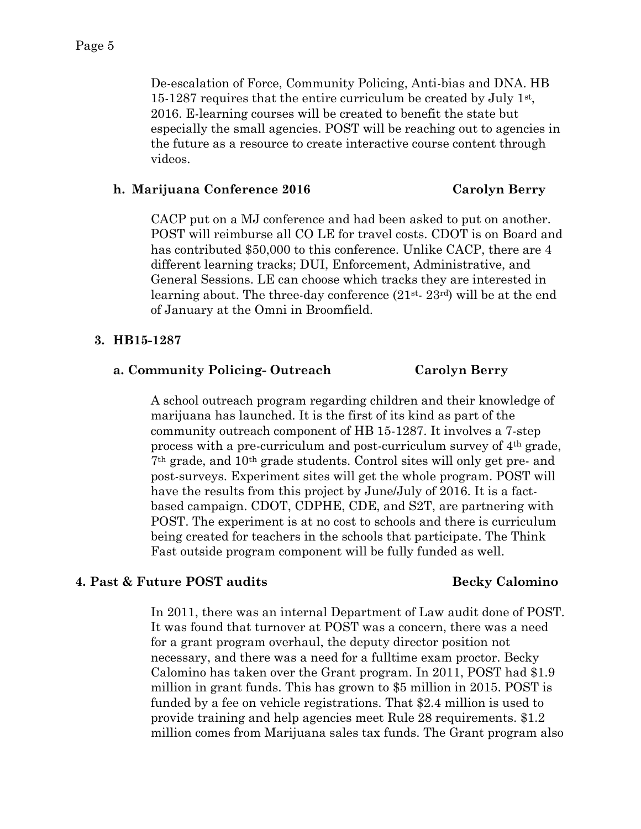De-escalation of Force, Community Policing, Anti-bias and DNA. HB 15-1287 requires that the entire curriculum be created by July 1st , 2016. E-learning courses will be created to benefit the state but especially the small agencies. POST will be reaching out to agencies in the future as a resource to create interactive course content through videos.

### **h. Marijuana Conference 2016 Carolyn Berry**

CACP put on a MJ conference and had been asked to put on another. POST will reimburse all CO LE for travel costs. CDOT is on Board and has contributed \$50,000 to this conference. Unlike CACP, there are 4 different learning tracks; DUI, Enforcement, Administrative, and General Sessions. LE can choose which tracks they are interested in learning about. The three-day conference  $(21^{st} - 23^{rd})$  will be at the end of January at the Omni in Broomfield.

### **3. HB15-1287**

### **a. Community Policing- Outreach Carolyn Berry**

A school outreach program regarding children and their knowledge of marijuana has launched. It is the first of its kind as part of the community outreach component of HB 15-1287. It involves a 7-step process with a pre-curriculum and post-curriculum survey of 4th grade, 7th grade, and 10th grade students. Control sites will only get pre- and post-surveys. Experiment sites will get the whole program. POST will have the results from this project by June/July of 2016. It is a factbased campaign. CDOT, CDPHE, CDE, and S2T, are partnering with POST. The experiment is at no cost to schools and there is curriculum being created for teachers in the schools that participate. The Think Fast outside program component will be fully funded as well.

### **4. Past & Future POST audits Becky Calomino**

In 2011, there was an internal Department of Law audit done of POST. It was found that turnover at POST was a concern, there was a need for a grant program overhaul, the deputy director position not necessary, and there was a need for a fulltime exam proctor. Becky Calomino has taken over the Grant program. In 2011, POST had \$1.9 million in grant funds. This has grown to \$5 million in 2015. POST is funded by a fee on vehicle registrations. That \$2.4 million is used to provide training and help agencies meet Rule 28 requirements. \$1.2 million comes from Marijuana sales tax funds. The Grant program also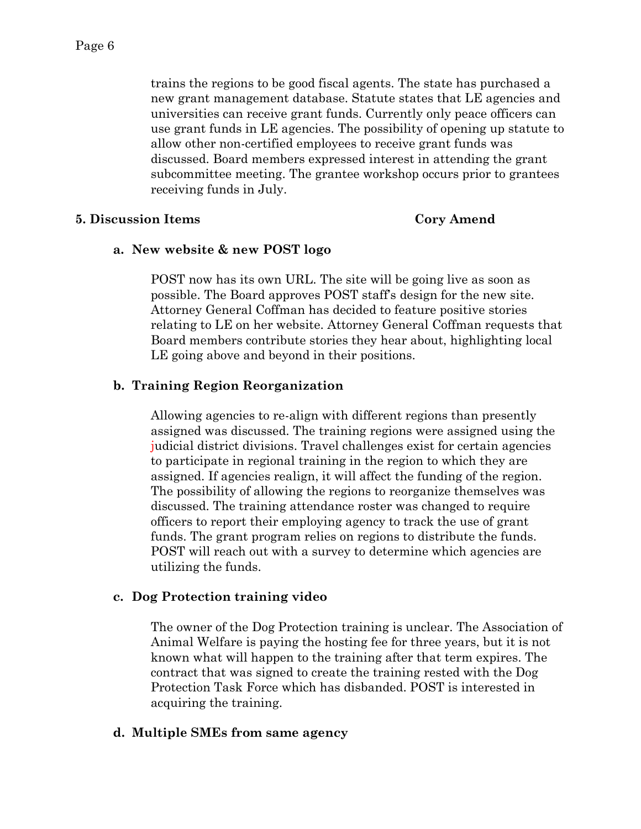trains the regions to be good fiscal agents. The state has purchased a new grant management database. Statute states that LE agencies and universities can receive grant funds. Currently only peace officers can use grant funds in LE agencies. The possibility of opening up statute to allow other non-certified employees to receive grant funds was discussed. Board members expressed interest in attending the grant subcommittee meeting. The grantee workshop occurs prior to grantees receiving funds in July.

## **5. Discussion Items Cory Amend**

## **a. New website & new POST logo**

POST now has its own URL. The site will be going live as soon as possible. The Board approves POST staff's design for the new site. Attorney General Coffman has decided to feature positive stories relating to LE on her website. Attorney General Coffman requests that Board members contribute stories they hear about, highlighting local LE going above and beyond in their positions.

# **b. Training Region Reorganization**

Allowing agencies to re-align with different regions than presently assigned was discussed. The training regions were assigned using the judicial district divisions. Travel challenges exist for certain agencies to participate in regional training in the region to which they are assigned. If agencies realign, it will affect the funding of the region. The possibility of allowing the regions to reorganize themselves was discussed. The training attendance roster was changed to require officers to report their employing agency to track the use of grant funds. The grant program relies on regions to distribute the funds. POST will reach out with a survey to determine which agencies are utilizing the funds.

# **c. Dog Protection training video**

The owner of the Dog Protection training is unclear. The Association of Animal Welfare is paying the hosting fee for three years, but it is not known what will happen to the training after that term expires. The contract that was signed to create the training rested with the Dog Protection Task Force which has disbanded. POST is interested in acquiring the training.

# **d. Multiple SMEs from same agency**